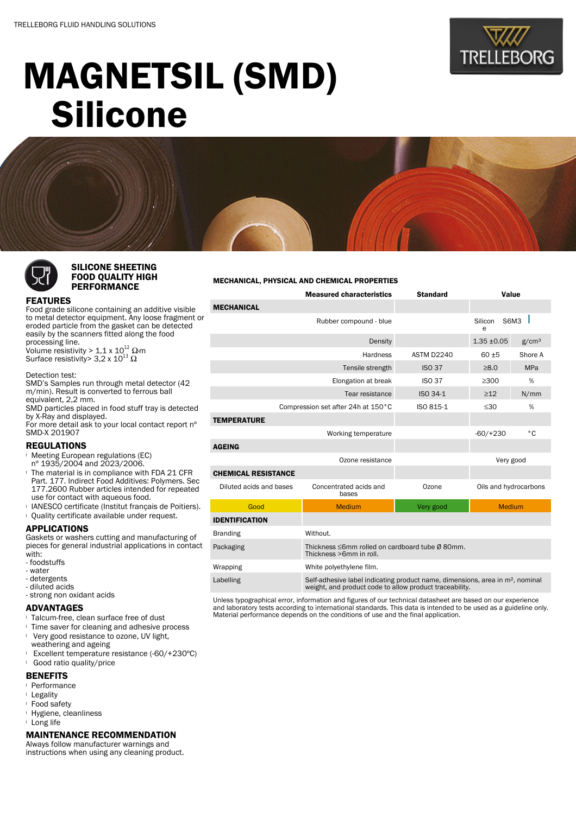

# MAGNETSIL (SMD) Silicone



## SILICONE SHEETING FOOD QUALITY HIGH PERFORMANCE

#### MECHANICAL, PHYSICAL AND CHEMICAL PROPERTIES

|                                    | <b>Measured characteristics</b>                                                                                                                      | <b>Standard</b> | Value                 |                   |  |
|------------------------------------|------------------------------------------------------------------------------------------------------------------------------------------------------|-----------------|-----------------------|-------------------|--|
| <b>MECHANICAL</b>                  |                                                                                                                                                      |                 |                       |                   |  |
|                                    | Rubber compound - blue                                                                                                                               |                 | S6M3<br>Silicon<br>e  |                   |  |
|                                    | Density                                                                                                                                              |                 | $1.35 + 0.05$         | g/cm <sup>3</sup> |  |
|                                    | <b>Hardness</b>                                                                                                                                      | ASTM D2240      | $60 + 5$              | Shore A           |  |
|                                    | Tensile strength                                                                                                                                     | <b>ISO 37</b>   | $\geq 8.0$            | <b>MPa</b>        |  |
|                                    | <b>ISO 37</b>                                                                                                                                        | >300            | %                     |                   |  |
|                                    | ISO 34-1                                                                                                                                             | $\geq$ 12       | N/mm                  |                   |  |
| Compression set after 24h at 150°C | ISO 815-1                                                                                                                                            | $\leq 30$       | %                     |                   |  |
| <b>TEMPERATURE</b>                 |                                                                                                                                                      |                 |                       |                   |  |
|                                    | Working temperature                                                                                                                                  |                 | $-60/+230$            | ۰c                |  |
| <b>AGEING</b>                      |                                                                                                                                                      |                 |                       |                   |  |
|                                    | Ozone resistance                                                                                                                                     |                 | Very good             |                   |  |
| <b>CHEMICAL RESISTANCE</b>         |                                                                                                                                                      |                 |                       |                   |  |
| Diluted acids and bases            | Concentrated acids and<br>bases                                                                                                                      | Ozone           | Oils and hydrocarbons |                   |  |
| Good                               | <b>Medium</b>                                                                                                                                        | Very good       | <b>Medium</b>         |                   |  |
| <b>IDENTIFICATION</b>              |                                                                                                                                                      |                 |                       |                   |  |
| <b>Branding</b>                    | Without.                                                                                                                                             |                 |                       |                   |  |
| Packaging                          | Thickness ≤6mm rolled on cardboard tube Ø 80mm.<br>Thickness >6mm in roll.                                                                           |                 |                       |                   |  |
| Wrapping                           | White polyethylene film.                                                                                                                             |                 |                       |                   |  |
| Labelling                          | Self-adhesive label indicating product name, dimensions, area in m <sup>2</sup> , nominal<br>weight, and product code to allow product traceability. |                 |                       |                   |  |

Unless typographical error, information and figures of our technical datasheet are based on our experience and laboratory tests according to international standards. This data is intended to be used as a guideline only. Material performance depends on the conditions of use and the final application.

### FEATURES

Food grade silicone containing an additive visible to metal detector equipment. Any loose fragment or eroded particle from the gasket can be detected easily by the scanners fitted along the food processing line. Volume resistivity >  $1,1 \times 10^{12}$  Q·m Surface resistivity> 3,2 x 10 $^{13}$   $\Omega$ 

#### Detection test:

SMD's Samples run through metal detector (42 m/min). Result is converted to ferrous ball equivalent, 2,2 mm. SMD particles placed in food stuff tray is detected by X-Ray and displayed. For more detail ask to your local contact report nº SMD-X 201907

### REGULATIONS

- **Meeting European regulations (EC)**
- nº 1935/2004 and 2023/2006.
- <sup>l</sup> The material is in compliance with FDA 21 CFR Part. 177. Indirect Food Additives: Polymers. Sec 177.2600 Rubber articles intended for repeated use for contact with aqueous food.
- **I IANESCO certificate (Institut français de Poitiers).**
- <sup>l</sup> Quality certificate available under request.

## APPLICATIONS

Gaskets or washers cutting and manufacturing of pieces for general industrial applications in contact with:

- foodstuffs
- water
- detergents
- diluted acids - strong non oxidant acids

## ADVANTAGES

- <sup>l</sup> Talcum-free, clean surface free of dust
- **If** Time saver for cleaning and adhesive process
- **Very good resistance to ozone, UV light,**
- weathering and ageing
- <sup>l</sup> Excellent temperature resistance (-60/+230ºC) <sup>l</sup> Good ratio quality/price

## **BENEFITS**

- <sup>l</sup> Performance
- <sup>l</sup> Legality
- <sup>l</sup> Food safety
- <sup>l</sup> Hygiene, cleanliness
- <sup>l</sup> Long life

## MAINTENANCE RECOMMENDATION

Always follow manufacturer warnings and instructions when using any cleaning product.